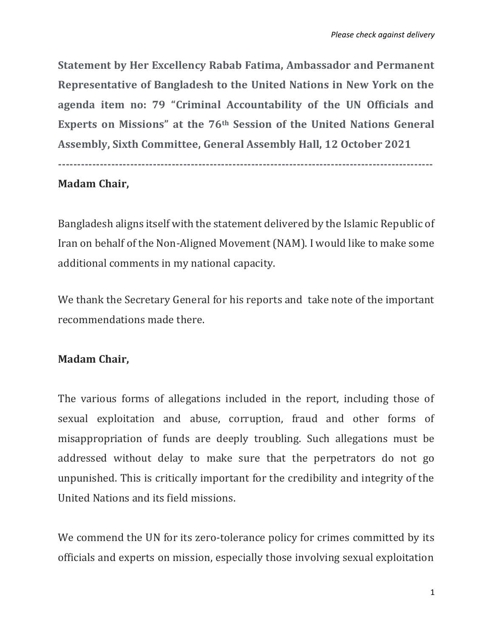**Statement by Her Excellency Rabab Fatima, Ambassador and Permanent Representative of Bangladesh to the United Nations in New York on the agenda item no: 79 "Criminal Accountability of the UN Officials and Experts on Missions" at the 76th Session of the United Nations General Assembly, Sixth Committee, General Assembly Hall, 12 October 2021**

**---------------------------------------------------------------------------------------------------**

## **Madam Chair,**

Bangladesh aligns itself with the statement delivered by the Islamic Republic of Iran on behalf of the Non-Aligned Movement (NAM). I would like to make some additional comments in my national capacity.

We thank the Secretary General for his reports and take note of the important recommendations made there.

## **Madam Chair,**

The various forms of allegations included in the report, including those of sexual exploitation and abuse, corruption, fraud and other forms of misappropriation of funds are deeply troubling. Such allegations must be addressed without delay to make sure that the perpetrators do not go unpunished. This is critically important for the credibility and integrity of the United Nations and its field missions.

We commend the UN for its zero-tolerance policy for crimes committed by its officials and experts on mission, especially those involving sexual exploitation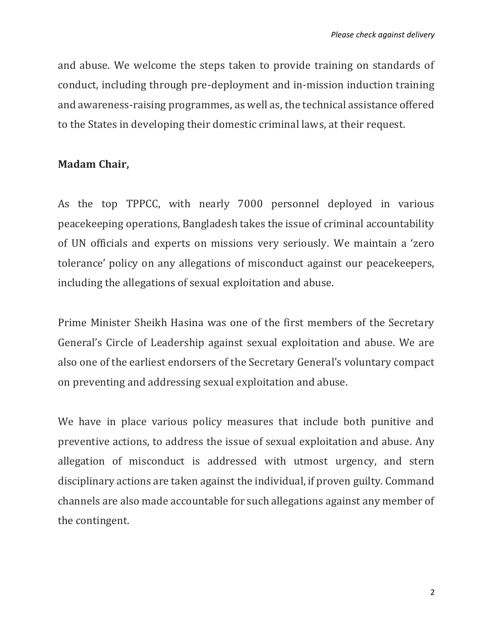and abuse. We welcome the steps taken to provide training on standards of conduct, including through pre-deployment and in-mission induction training and awareness-raising programmes, as well as, the technical assistance offered to the States in developing their domestic criminal laws, at their request.

## **Madam Chair,**

As the top TPPCC, with nearly 7000 personnel deployed in various peacekeeping operations, Bangladesh takes the issue of criminal accountability of UN officials and experts on missions very seriously. We maintain a 'zero tolerance' policy on any allegations of misconduct against our peacekeepers, including the allegations of sexual exploitation and abuse.

Prime Minister Sheikh Hasina was one of the first members of the Secretary General's Circle of Leadership against sexual exploitation and abuse. We are also one of the earliest endorsers of the Secretary General's voluntary compact on preventing and addressing sexual exploitation and abuse.

We have in place various policy measures that include both punitive and preventive actions, to address the issue of sexual exploitation and abuse. Any allegation of misconduct is addressed with utmost urgency, and stern disciplinary actions are taken against the individual, if proven guilty. Command channels are also made accountable for such allegations against any member of the contingent.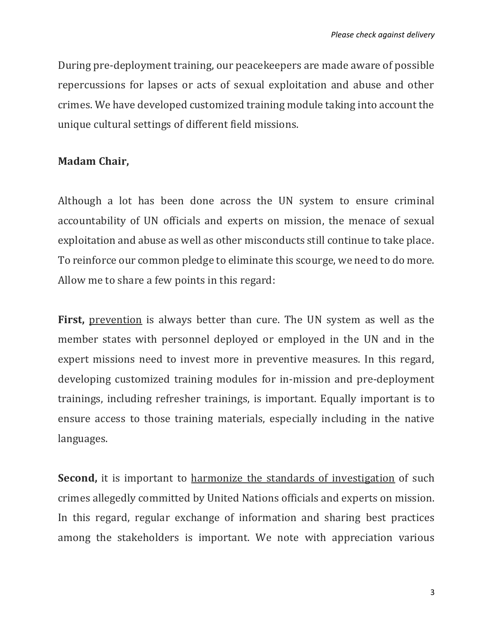During pre-deployment training, our peacekeepers are made aware of possible repercussions for lapses or acts of sexual exploitation and abuse and other crimes. We have developed customized training module taking into account the unique cultural settings of different field missions.

## **Madam Chair,**

Although a lot has been done across the UN system to ensure criminal accountability of UN officials and experts on mission, the menace of sexual exploitation and abuse as well as other misconducts still continue to take place. To reinforce our common pledge to eliminate this scourge, we need to do more. Allow me to share a few points in this regard:

First, prevention is always better than cure. The UN system as well as the member states with personnel deployed or employed in the UN and in the expert missions need to invest more in preventive measures. In this regard, developing customized training modules for in-mission and pre-deployment trainings, including refresher trainings, is important. Equally important is to ensure access to those training materials, especially including in the native languages.

**Second,** it is important to harmonize the standards of investigation of such crimes allegedly committed by United Nations officials and experts on mission. In this regard, regular exchange of information and sharing best practices among the stakeholders is important. We note with appreciation various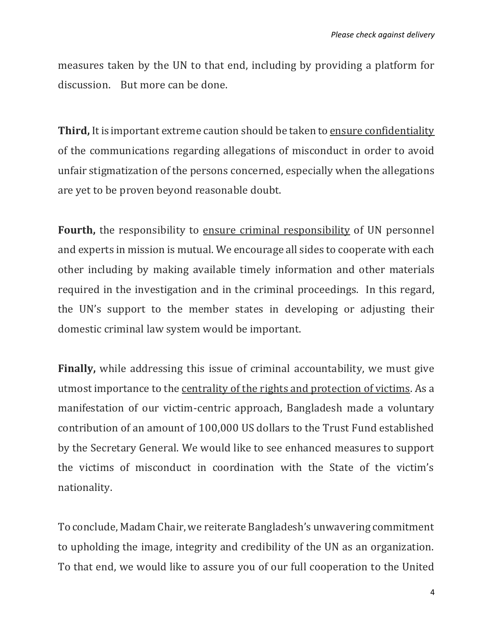measures taken by the UN to that end, including by providing a platform for discussion. But more can be done.

**Third,** It is important extreme caution should be taken to ensure confidentiality of the communications regarding allegations of misconduct in order to avoid unfair stigmatization of the persons concerned, especially when the allegations are yet to be proven beyond reasonable doubt.

**Fourth,** the responsibility to ensure criminal responsibility of UN personnel and experts in mission is mutual. We encourage all sides to cooperate with each other including by making available timely information and other materials required in the investigation and in the criminal proceedings. In this regard, the UN's support to the member states in developing or adjusting their domestic criminal law system would be important.

**Finally,** while addressing this issue of criminal accountability, we must give utmost importance to the centrality of the rights and protection of victims. As a manifestation of our victim-centric approach, Bangladesh made a voluntary contribution of an amount of 100,000 US dollars to the Trust Fund established by the Secretary General. We would like to see enhanced measures to support the victims of misconduct in coordination with the State of the victim's nationality.

To conclude, Madam Chair, we reiterate Bangladesh's unwavering commitment to upholding the image, integrity and credibility of the UN as an organization. To that end, we would like to assure you of our full cooperation to the United